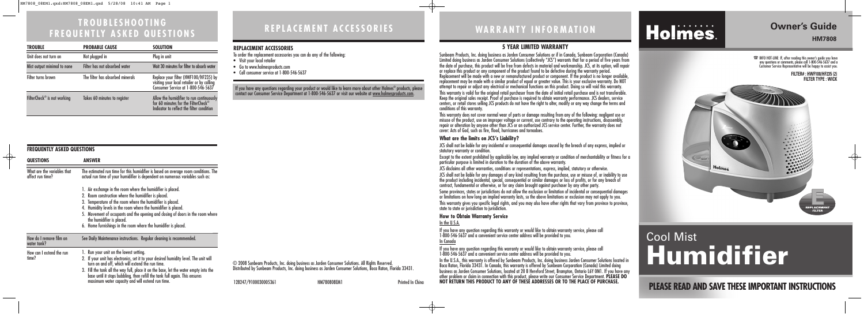#### **REPLACEMENT ACCESSORIES TROUBLESHOOTING FREQUENTLY ASKED QUESTIONS**

**PLEASE READ AND SAVE THESE IMPORTANT INSTRUCTIONS**

## **Owner's Guide**

Sunbeam Products, Inc. doing business as Jarden Consumer Solutions or if in Canada, Sunbeam Corporation (Canada) Limited doing business as Jarden Consumer Solutions (collectively "JCS") warrants that for a period of five years from the date of purchase, this product will be free from defects in material and workmanship. JCS, at its option, will repair or replace this product or any component of the product found to be defective during the warranty period. Replacement will be made with a new or remanufactured product or component. If the product is no longer available, replacement may be made with a similar product of equal or greater value. This is your exclusive warranty. Do NOT attempt to repair or adjust any electrical or mechanical functions on this product. Doing so will void this warranty. • Call consumer service at  $1-800-546-5637$  **FILTER#** :  $HWF100/HF235$  (2)

**HM7808**

# **WARRANTY INFORMATION**

128247/9100030005361 HM780808EM1 Printed In China

# Cool Mist **Humidifier**

#### **5 YEAR LIMITED WARRANTY**

This warranty is valid for the original retail purchaser from the date of initial retail purchase and is not transferable. Keep the original sales receipt. Proof of purchase is required to obtain warranty performance. JCS dealers, service centers, or retail stores selling JCS products do not have the right to alter, modify or any way change the terms and

conditions of this warranty.

This warranty does not cover normal wear of parts or damage resulting from any of the following: negligent use or misuse of the product, use on improper voltage or current, use contrary to the operating instructions, disassembly, repair or alteration by anyone other than JCS or an authorized JCS service center. Further, the warranty does not cover: Acts of God, such as fire, flood, hurricanes and tornadoes.

#### **What are the limits on JCS's Liability?**

JCS shall not be liable for any incidental or consequential damages caused by the breach of any express, implied or

statutory warranty or condition.

**TOM** INFO HOT-LINE: If, after reading this owner's guide you have any questions or comments, please call 1-800-546-5637 and a Customer Service Representative will be happy to assist you.

Except to the extent prohibited by applicable law, any implied warranty or condition of merchantability or fitness for a particular purpose is limited in duration to the duration of the above warranty.

- Visit your local retailer
- 
- Go to www.holmesproducts.com

JCS disclaims all other warranties, conditions or representations, express, implied, statutory or otherwise.

JCS shall not be liable for any damages of any kind resulting from the purchase, use or misuse of, or inability to use the product including incidental, special, consequential or similar damages or loss of profits, or for any breach of contract, fundamental or otherwise, or for any claim brought against purchaser by any other party.

Some provinces, states or jurisdictions do not allow the exclusion or limitation of incidental or consequential damages or limitations on how long an implied warranty lasts, so the above limitations or exclusion may not apply to you. This warranty gives you specific legal rights, and you may also have other rights that vary from province to province,

state to state or jurisdiction to jurisdiction.

#### **How to Obtain Warranty Service**

# Holmes.

### In the U.S.A.

If you have any questions regarding your product or would like to learn more about other Holmes® products, please contact our Consumer Service Department at 1-800-546-5637 or visit our website at <u>www.holmesproducts.com</u>.

> If you have any question regarding this warranty or would like to obtain warranty service, please call 1-800-546-5637 and a convenient service center address will be provided to you. In Canada If you have any question regarding this warranty or would like to obtain warranty service, please call 1-800-546-5637 and a convenient service center address will be provided to you. In the U.S.A., this warranty is offered by Sunbeam Products, Inc. doing business Jarden Consumer Solutions located in Boca Raton, Florida 33431. In Canada, this warranty is offered by Sunbeam Corporation (Canada) Limited doing business as Jarden Consumer Solutions, located at 20 B Hereford Street, Brampton, Ontario L6Y 0M1. If you have any other problem or claim in connection with this product, please write our Consumer Service Department. **PLEASE DO NOT RETURN THIS PRODUCT TO ANY OF THESE ADDRESSES OR TO THE PLACE OF PURCHASE.**

#### **REPLACEMENT ACCESSORIES**

To order the replacement accessories you can do any of the following:

## **FILTER TYPE : WICK**



| <b>FREQUENTLY ASKED QUESTIONS</b>               |                                                                                                                                                                                                                                                                                                                                                                                                                                       |  |
|-------------------------------------------------|---------------------------------------------------------------------------------------------------------------------------------------------------------------------------------------------------------------------------------------------------------------------------------------------------------------------------------------------------------------------------------------------------------------------------------------|--|
| <b>QUESTIONS</b>                                | <b>ANSWER</b>                                                                                                                                                                                                                                                                                                                                                                                                                         |  |
| What are the variables that<br>affect run time? | The estimated run time for this humidifier is based on average room conditions. The<br>actual run time of your humidifier is dependent on numerous variables such as:                                                                                                                                                                                                                                                                 |  |
|                                                 | 1. Air exchange in the room where the humidifier is placed.<br>2. Room construction where the humidifier is placed.<br>3. Temperature of the room where the humidifier is placed.<br>4. Humidity levels in the room where the humidifier is placed.<br>5. Movement of occupants and the opening and closing of doors in the room where<br>the humidifier is placed.<br>6. Home furnishings in the room where the humidifer is placed. |  |
| How do I remove film on<br>water tank?          | See Daily Maintenance instructions. Regular cleaning is recommended.                                                                                                                                                                                                                                                                                                                                                                  |  |
| How can I extend the run<br>time?               | 1. Run your unit on the lowest setting.<br>2. If your unit has electronics, set it to your desired humidity level. The unit will<br>turn on and off, which will extend the run time.<br>3. Fill the tank all the way full, place it on the base, let the water empty into the<br>base until it stops bubbling, then refill the tank full again. This ensures<br>maximum water capacity and will extend run time.                      |  |

© 2008 Sunbeam Products, Inc. doing business as Jarden Consumer Solutions. All Rights Reserved. Distributed by Sunbeam Products, Inc. doing business as Jarden Consumer Solutions, Boca Raton, Florida 33431.

| <b>TROUBLE</b>                          | <b>PROBABLE CAUSE</b>            | <b>SOLUTION</b>                                                                                                              |
|-----------------------------------------|----------------------------------|------------------------------------------------------------------------------------------------------------------------------|
| Unit does not turn on                   | Not plugged in                   | Plug in unit                                                                                                                 |
| Mist output minimal to none             | Filter has not absorbed water    | Wait 30 minutes for filter to absorb water                                                                                   |
| Filter turns brown                      | The filter has absorbed minerals | Replace your filter (HWF100/HF235) by<br>visiting your local retailer or by calling<br>Consumer Service at 1-800-546-5637    |
| FilterCheck <sup>®</sup> is not working | Takes 60 minutes to register     | Allow the humidifier to run continuously<br>for 60 minutes for the FilterCheck®<br>Indicator to reflect the filter condition |

 $\bigoplus$